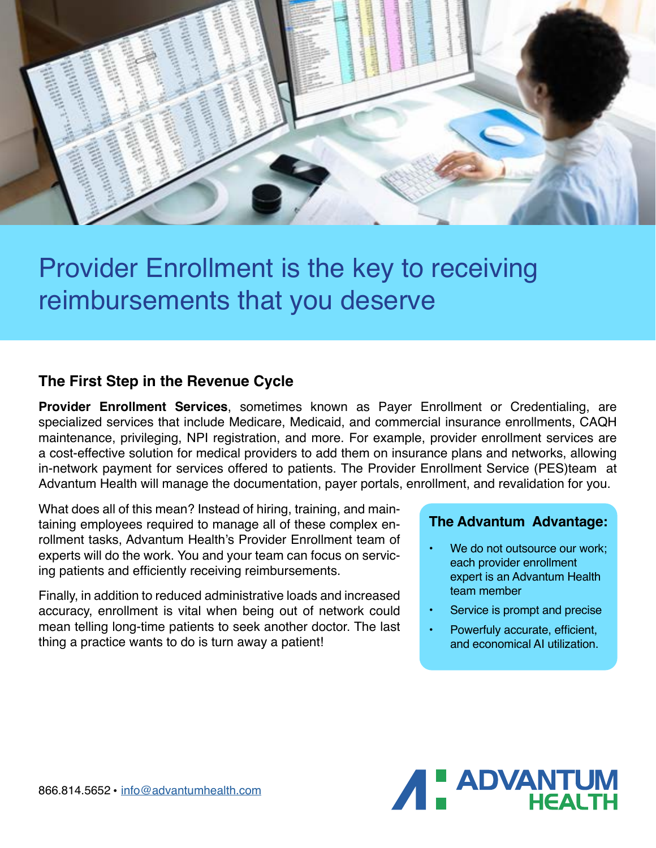

# Provider Enrollment is the key to receiving reimbursements that you deserve

### **The First Step in the Revenue Cycle**

**Provider Enrollment Services**, sometimes known as Payer Enrollment or Credentialing, are specialized services that include Medicare, Medicaid, and commercial insurance enrollments, CAQH maintenance, privileging, NPI registration, and more. For example, provider enrollment services are a cost-effective solution for medical providers to add them on insurance plans and networks, allowing in-network payment for services offered to patients. The Provider Enrollment Service (PES)team at Advantum Health will manage the documentation, payer portals, enrollment, and revalidation for you.

What does all of this mean? Instead of hiring, training, and maintaining employees required to manage all of these complex enrollment tasks, Advantum Health's Provider Enrollment team of experts will do the work. You and your team can focus on servicing patients and efficiently receiving reimbursements.

Finally, in addition to reduced administrative loads and increased accuracy, enrollment is vital when being out of network could mean telling long-time patients to seek another doctor. The last thing a practice wants to do is turn away a patient!

#### **The Advantum Advantage:**

- We do not outsource our work; each provider enrollment expert is an Advantum Health team member
- Service is prompt and precise
- Powerfuly accurate, efficient, and economical AI utilization.